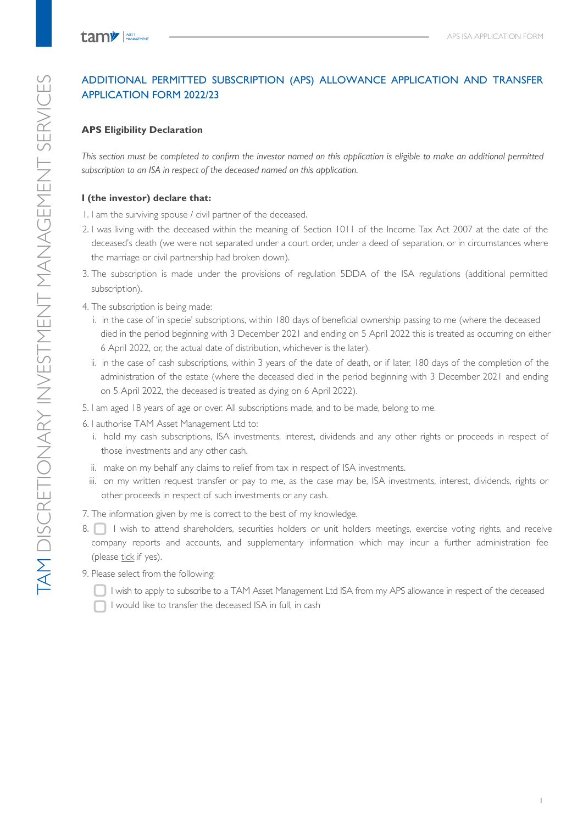# ADDITIONAL PERMITTED SUBSCRIPTION (APS) ALLOWANCE APPLICATION AND TRANSFER APPLICATION FORM 2022/23

## **APS Eligibility Declaration**

*This section must be completed to confirm the investor named on this application is eligible to make an additional permitted subscription to an ISA in respect of the deceased named on this application.*

# **I (the investor) declare that:**

1. I am the surviving spouse / civil partner of the deceased.

- 2. I was living with the deceased within the meaning of Section 1011 of the Income Tax Act 2007 at the date of the deceased's death (we were not separated under a court order, under a deed of separation, or in circumstances where the marriage or civil partnership had broken down).
- 3. The subscription is made under the provisions of regulation 5DDA of the ISA regulations (additional permitted subscription).
- 4. The subscription is being made:
	- i. in the case of 'in specie' subscriptions, within 180 days of beneficial ownership passing to me (where the deceased died in the period beginning with 3 December 2021 and ending on 5 April 2022 this is treated as occurring on either 6 April 2022, or, the actual date of distribution, whichever is the later).
	- ii. in the case of cash subscriptions, within 3 years of the date of death, or if later, 180 days of the completion of the administration of the estate (where the deceased died in the period beginning with 3 December 2021 and ending on 5 April 2022, the deceased is treated as dying on 6 April 2022).
- 5. I am aged 18 years of age or over. All subscriptions made, and to be made, belong to me.
- 6. I authorise TAM Asset Management Ltd to:
	- i. hold my cash subscriptions, ISA investments, interest, dividends and any other rights or proceeds in respect of those investments and any other cash.
	- ii. make on my behalf any claims to relief from tax in respect of ISA investments.
	- iii. on my written request transfer or pay to me, as the case may be, ISA investments, interest, dividends, rights or other proceeds in respect of such investments or any cash.
- 7. The information given by me is correct to the best of my knowledge.
- 8. I wish to attend shareholders, securities holders or unit holders meetings, exercise voting rights, and receive company reports and accounts, and supplementary information which may incur a further administration fee (please tick if yes).
- 9. Please select from the following:
	- I wish to apply to subscribe to a TAM Asset Management Ltd ISA from my APS allowance in respect of the deceased
	- I would like to transfer the deceased ISA in full, in cash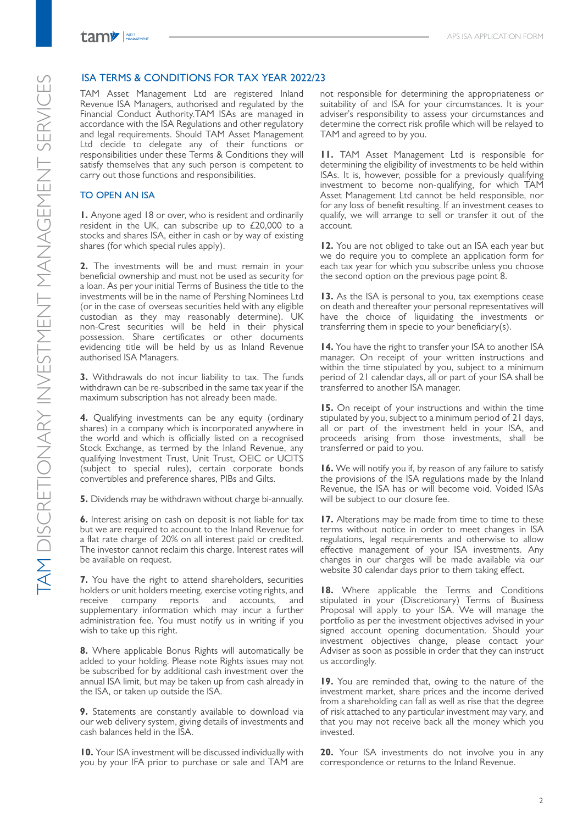### ISA TERMS & CONDITIONS FOR TAX YEAR 2022/23

TAM Asset Management Ltd are registered Inland Revenue ISA Managers, authorised and regulated by the Financial Conduct Authority.TAM ISAs are managed in accordance with the ISA Regulations and other regulatory and legal requirements. Should TAM Asset Management Ltd decide to delegate any of their functions or responsibilities under these Terms & Conditions they will satisfy themselves that any such person is competent to carry out those functions and responsibilities.

#### TO OPEN AN ISA

**1.** Anyone aged 18 or over, who is resident and ordinarily resident in the UK, can subscribe up to  $£20,000$  to a stocks and shares ISA, either in cash or by way of existing shares (for which special rules apply).

**2.** The investments will be and must remain in your beneficial ownership and must not be used as security for a loan. As per your initial Terms of Business the title to the investments will be in the name of Pershing Nominees Ltd (or in the case of overseas securities held with any eligible custodian as they may reasonably determine). UK non-Crest securities will be held in their physical possession. Share certificates or other documents evidencing title will be held by us as Inland Revenue authorised ISA Managers.

**3.** Withdrawals do not incur liability to tax. The funds withdrawn can be re-subscribed in the same tax year if the maximum subscription has not already been made.

**4.** Qualifying investments can be any equity (ordinary shares) in a company which is incorporated anywhere in the world and which is officially listed on a recognised Stock Exchange, as termed by the Inland Revenue, any qualifying Investment Trust, Unit Trust, OEIC or UCITS (subject to special rules), certain corporate bonds convertibles and preference shares, PIBs and Gilts.

**5.** Dividends may be withdrawn without charge bi-annually.

**6.** Interest arising on cash on deposit is not liable for tax but we are required to account to the Inland Revenue for a flat rate charge of 20% on all interest paid or credited. The investor cannot reclaim this charge. Interest rates will be available on request.

**7.** You have the right to attend shareholders, securities holders or unit holders meeting, exercise voting rights, and receive company reports and accounts, and supplementary information which may incur a further administration fee. You must notify us in writing if you wish to take up this right.

**8.** Where applicable Bonus Rights will automatically be added to your holding. Please note Rights issues may not be subscribed for by additional cash investment over the annual ISA limit, but may be taken up from cash already in the ISA, or taken up outside the ISA.

**9.** Statements are constantly available to download via our web delivery system, giving details of investments and cash balances held in the ISA.

**10.** Your ISA investment will be discussed individually with you by your IFA prior to purchase or sale and TAM are

not responsible for determining the appropriateness or suitability of and ISA for your circumstances. It is your adviser's responsibility to assess your circumstances and determine the correct risk profile which will be relayed to TAM and agreed to by you.

**11.** TAM Asset Management Ltd is responsible for determining the eligibility of investments to be held within ISAs. It is, however, possible for a previously qualifying investment to become non-qualifying, for which TAM Asset Management Ltd cannot be held responsible, nor for any loss of benefit resulting. If an investment ceases to qualify, we will arrange to sell or transfer it out of the account.

**12.** You are not obliged to take out an ISA each year but we do require you to complete an application form for each tax year for which you subscribe unless you choose the second option on the previous page point 8.

**13.** As the ISA is personal to you, tax exemptions cease on death and thereafter your personal representatives will have the choice of liquidating the investments or transferring them in specie to your beneficiary(s).

**14.** You have the right to transfer your ISA to another ISA manager. On receipt of your written instructions and within the time stipulated by you, subject to a minimum period of 21 calendar days, all or part of your ISA shall be transferred to another ISA manager.

**15.** On receipt of your instructions and within the time stipulated by you, subject to a minimum period of 21 days, all or part of the investment held in your ISA, and proceeds arising from those investments, shall be transferred or paid to you.

**16.** We will notify you if, by reason of any failure to satisfy the provisions of the ISA regulations made by the Inland Revenue, the ISA has or will become void. Voided ISAs will be subject to our closure fee.

**17.** Alterations may be made from time to time to these terms without notice in order to meet changes in ISA regulations, legal requirements and otherwise to allow effective management of your ISA investments. Any changes in our charges will be made available via our website 30 calendar days prior to them taking effect.

**18.** Where applicable the Terms and Conditions stipulated in your (Discretionary) Terms of Business Proposal will apply to your ISA. We will manage the portfolio as per the investment objectives advised in your signed account opening documentation. Should your investment objectives change, please contact your Adviser as soon as possible in order that they can instruct us accordingly.

**19.** You are reminded that, owing to the nature of the investment market, share prices and the income derived from a shareholding can fall as well as rise that the degree of risk attached to any particular investment may vary, and that you may not receive back all the money which you invested.

**20.** Your ISA investments do not involve you in any correspondence or returns to the Inland Revenue.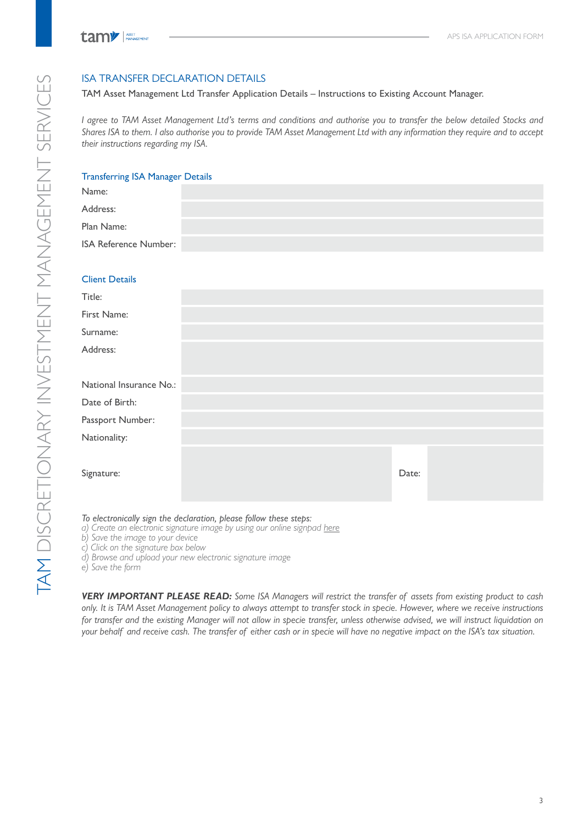## ISA TRANSFER DECLARATION DETAILS

#### TAM Asset Management Ltd Transfer Application Details – Instructions to Existing Account Manager.

*I agree to TAM Asset Management Ltd's terms and conditions and authorise you to transfer the below detailed Stocks and Shares ISA to them. I also authorise you to provide TAM Asset Management Ltd with any information they require and to accept their instructions regarding my ISA.*

### Transferring ISA Manager Details

| Name:                   |  |       |  |
|-------------------------|--|-------|--|
| Address:                |  |       |  |
| Plan Name:              |  |       |  |
| ISA Reference Number:   |  |       |  |
|                         |  |       |  |
| <b>Client Details</b>   |  |       |  |
| Title:                  |  |       |  |
| First Name:             |  |       |  |
| Surname:                |  |       |  |
| Address:                |  |       |  |
|                         |  |       |  |
| National Insurance No.: |  |       |  |
| Date of Birth:          |  |       |  |
| Passport Number:        |  |       |  |
| Nationality:            |  |       |  |
|                         |  |       |  |
| Signature:              |  | Date: |  |
|                         |  |       |  |
|                         |  |       |  |

*To electronically sign the declaration, please follow these steps:*

*a) Create an electronic signature image by using our online signpad here*

*b) Save the image to your device*

*c) Click on the signature box below*

*d) Browse and upload your new electronic signature image*

*e) Save the form*

*VERY IMPORTANT PLEASE READ: Some ISA Managers will restrict the transfer of assets from existing product to cash only. It is TAM Asset Management policy to always attempt to transfer stock in specie. However, where we receive instructions*  for transfer and the existing Manager will not allow in specie transfer, unless otherwise advised, we will instruct liquidation on *your behalf and receive cash. The transfer of either cash or in specie will have no negative impact on the ISA's tax situation.*